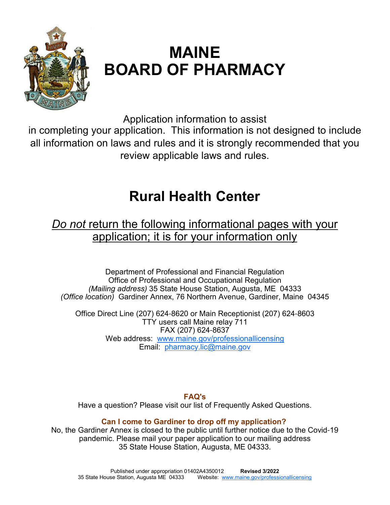

# **MAINE BOARD OF PHARMACY**

Application information to assist

in completing your application. This information is not designed to include all information on laws and rules and it is strongly recommended that you review applicable laws and rules.

## **Rural Health Center**

## *Do not* return the following informational pages with your application; it is for your information only

Department of Professional and Financial Regulation Office of Professional and Occupational Regulation *(Mailing address)* 35 State House Station, Augusta, ME 04333 *(Office location)* Gardiner Annex, 76 Northern Avenue, Gardiner, Maine 04345

Office Direct Line (207) 624-8620 or Main Receptionist (207) 624-8603 TTY users call Maine relay 711 FAX (207) 624-8637 Web address: www.maine.gov/professionallicensing Email: pharmacy.lic@maine.gov

**FAQ's** 

Have a question? Please visit our list of Frequently Asked Questions.

## **Can I come to Gardiner to drop off my application?**

No, the Gardiner Annex is closed to the public until further notice due to the Covid-19 pandemic. Please mail your paper application to our mailing address 35 State House Station, Augusta, ME 04333.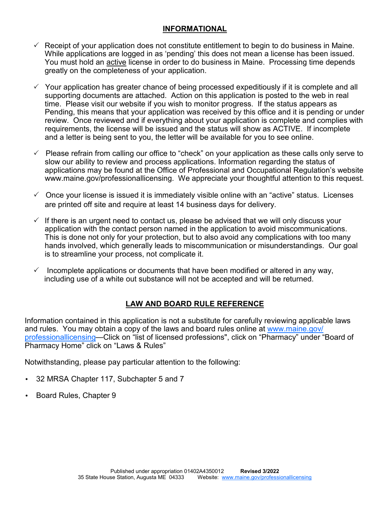#### **INFORMATIONAL**

- $\checkmark$  Receipt of your application does not constitute entitlement to begin to do business in Maine. While applications are logged in as 'pending' this does not mean a license has been issued. You must hold an active license in order to do business in Maine. Processing time depends greatly on the completeness of your application.
- $\checkmark$  Your application has greater chance of being processed expeditiously if it is complete and all supporting documents are attached. Action on this application is posted to the web in real time. Please visit our website if you wish to monitor progress. If the status appears as Pending, this means that your application was received by this office and it is pending or under review. Once reviewed and if everything about your application is complete and complies with requirements, the license will be issued and the status will show as ACTIVE. If incomplete and a letter is being sent to you, the letter will be available for you to see online.
- $\checkmark$  Please refrain from calling our office to "check" on your application as these calls only serve to slow our ability to review and process applications. Information regarding the status of applications may be found at the Office of Professional and Occupational Regulation's website www.maine.gov/professionallicensing. We appreciate your thoughtful attention to this request.
- $\checkmark$  Once your license is issued it is immediately visible online with an "active" status. Licenses are printed off site and require at least 14 business days for delivery.
- $\checkmark$  If there is an urgent need to contact us, please be advised that we will only discuss your application with the contact person named in the application to avoid miscommunications. This is done not only for your protection, but to also avoid any complications with too many hands involved, which generally leads to miscommunication or misunderstandings. Our goal is to streamline your process, not complicate it.
- $\checkmark$  Incomplete applications or documents that have been modified or altered in any way, including use of a white out substance will not be accepted and will be returned.

## **LAW AND BOARD RULE REFERENCE**

Information contained in this application is not a substitute for carefully reviewing applicable laws and rules. You may obtain a copy of the laws and board rules online at www.maine.gov/ professionallicensing—Click on "list of licensed professions", click on "Pharmacy" under "Board of Pharmacy Home" click on "Laws & Rules"

Notwithstanding, please pay particular attention to the following:

- 32 MRSA Chapter 117, Subchapter 5 and 7
- Board Rules, Chapter 9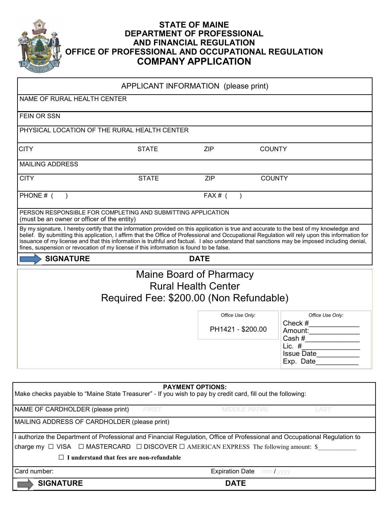

## **STATE OF MAINE DEPARTMENT OF PROFESSIONAL AND FINANCIAL REGULATION OFFICE OF PROFESSIONAL AND OCCUPATIONAL REGULATION COMPANY APPLICATION**

| NAME OF RURAL HEALTH CENTER<br>FEIN OR SSN<br>PHYSICAL LOCATION OF THE RURAL HEALTH CENTER<br><b>CITY</b><br><b>ZIP</b><br><b>STATE</b><br><b>MAILING ADDRESS</b><br><b>ZIP</b><br><b>CITY</b><br><b>STATE</b><br>PHONE # (<br>$FAX#$ (<br>$\rightarrow$<br>PERSON RESPONSIBLE FOR COMPLETING AND SUBMITTING APPLICATION<br>(must be an owner or officer of the entity)<br>By my signature, I hereby certify that the information provided on this application is true and accurate to the best of my knowledge and<br>belief. By submitting this application, I affirm that the Office of Professional and Occupational Regulation will rely upon this information for<br>issuance of my license and that this information is truthful and factual. I also understand that sanctions may be imposed including denial,<br>fines, suspension or revocation of my license if this information is found to be false.<br><b>SIGNATURE</b><br><b>DATE</b><br>Maine Board of Pharmacy<br><b>Rural Health Center</b><br>Required Fee: \$200.00 (Non Refundable)<br>Office Use Only:<br>PH1421 - \$200.00<br><b>PAYMENT OPTIONS:</b><br>Make checks payable to "Maine State Treasurer" - If you wish to pay by credit card, fill out the following:<br>NAME OF CARDHOLDER (please print)<br><b>MIDDLE INITIAL</b><br>FIRST<br>MAILING ADDRESS OF CARDHOLDER (please print)<br>I authorize the Department of Professional and Financial Regulation, Office of Professional and Occupational Regulation to<br>charge my $\Box$ VISA $\Box$ MASTERCARD $\Box$ DISCOVER $\Box$ AMERICAN EXPRESS The following amount: \$<br>$\Box$ I understand that fees are non-refundable | APPLICANT INFORMATION (please print)                                                                                                                                                                                                                                                                                                                                                                                                                         |
|------------------------------------------------------------------------------------------------------------------------------------------------------------------------------------------------------------------------------------------------------------------------------------------------------------------------------------------------------------------------------------------------------------------------------------------------------------------------------------------------------------------------------------------------------------------------------------------------------------------------------------------------------------------------------------------------------------------------------------------------------------------------------------------------------------------------------------------------------------------------------------------------------------------------------------------------------------------------------------------------------------------------------------------------------------------------------------------------------------------------------------------------------------------------------------------------------------------------------------------------------------------------------------------------------------------------------------------------------------------------------------------------------------------------------------------------------------------------------------------------------------------------------------------------------------------------------------------------------------------------------------------------------------------|--------------------------------------------------------------------------------------------------------------------------------------------------------------------------------------------------------------------------------------------------------------------------------------------------------------------------------------------------------------------------------------------------------------------------------------------------------------|
|                                                                                                                                                                                                                                                                                                                                                                                                                                                                                                                                                                                                                                                                                                                                                                                                                                                                                                                                                                                                                                                                                                                                                                                                                                                                                                                                                                                                                                                                                                                                                                                                                                                                  |                                                                                                                                                                                                                                                                                                                                                                                                                                                              |
|                                                                                                                                                                                                                                                                                                                                                                                                                                                                                                                                                                                                                                                                                                                                                                                                                                                                                                                                                                                                                                                                                                                                                                                                                                                                                                                                                                                                                                                                                                                                                                                                                                                                  |                                                                                                                                                                                                                                                                                                                                                                                                                                                              |
|                                                                                                                                                                                                                                                                                                                                                                                                                                                                                                                                                                                                                                                                                                                                                                                                                                                                                                                                                                                                                                                                                                                                                                                                                                                                                                                                                                                                                                                                                                                                                                                                                                                                  |                                                                                                                                                                                                                                                                                                                                                                                                                                                              |
|                                                                                                                                                                                                                                                                                                                                                                                                                                                                                                                                                                                                                                                                                                                                                                                                                                                                                                                                                                                                                                                                                                                                                                                                                                                                                                                                                                                                                                                                                                                                                                                                                                                                  | <b>COUNTY</b>                                                                                                                                                                                                                                                                                                                                                                                                                                                |
|                                                                                                                                                                                                                                                                                                                                                                                                                                                                                                                                                                                                                                                                                                                                                                                                                                                                                                                                                                                                                                                                                                                                                                                                                                                                                                                                                                                                                                                                                                                                                                                                                                                                  |                                                                                                                                                                                                                                                                                                                                                                                                                                                              |
|                                                                                                                                                                                                                                                                                                                                                                                                                                                                                                                                                                                                                                                                                                                                                                                                                                                                                                                                                                                                                                                                                                                                                                                                                                                                                                                                                                                                                                                                                                                                                                                                                                                                  | <b>COUNTY</b>                                                                                                                                                                                                                                                                                                                                                                                                                                                |
|                                                                                                                                                                                                                                                                                                                                                                                                                                                                                                                                                                                                                                                                                                                                                                                                                                                                                                                                                                                                                                                                                                                                                                                                                                                                                                                                                                                                                                                                                                                                                                                                                                                                  |                                                                                                                                                                                                                                                                                                                                                                                                                                                              |
|                                                                                                                                                                                                                                                                                                                                                                                                                                                                                                                                                                                                                                                                                                                                                                                                                                                                                                                                                                                                                                                                                                                                                                                                                                                                                                                                                                                                                                                                                                                                                                                                                                                                  |                                                                                                                                                                                                                                                                                                                                                                                                                                                              |
|                                                                                                                                                                                                                                                                                                                                                                                                                                                                                                                                                                                                                                                                                                                                                                                                                                                                                                                                                                                                                                                                                                                                                                                                                                                                                                                                                                                                                                                                                                                                                                                                                                                                  |                                                                                                                                                                                                                                                                                                                                                                                                                                                              |
|                                                                                                                                                                                                                                                                                                                                                                                                                                                                                                                                                                                                                                                                                                                                                                                                                                                                                                                                                                                                                                                                                                                                                                                                                                                                                                                                                                                                                                                                                                                                                                                                                                                                  |                                                                                                                                                                                                                                                                                                                                                                                                                                                              |
|                                                                                                                                                                                                                                                                                                                                                                                                                                                                                                                                                                                                                                                                                                                                                                                                                                                                                                                                                                                                                                                                                                                                                                                                                                                                                                                                                                                                                                                                                                                                                                                                                                                                  |                                                                                                                                                                                                                                                                                                                                                                                                                                                              |
|                                                                                                                                                                                                                                                                                                                                                                                                                                                                                                                                                                                                                                                                                                                                                                                                                                                                                                                                                                                                                                                                                                                                                                                                                                                                                                                                                                                                                                                                                                                                                                                                                                                                  | Office Use Only:                                                                                                                                                                                                                                                                                                                                                                                                                                             |
|                                                                                                                                                                                                                                                                                                                                                                                                                                                                                                                                                                                                                                                                                                                                                                                                                                                                                                                                                                                                                                                                                                                                                                                                                                                                                                                                                                                                                                                                                                                                                                                                                                                                  | Amount:<br>Cash # $\frac{$ $\frac{1}{2}$ $\frac{1}{2}$ $\frac{1}{2}$ $\frac{1}{2}$ $\frac{1}{2}$ $\frac{1}{2}$ $\frac{1}{2}$ $\frac{1}{2}$ $\frac{1}{2}$ $\frac{1}{2}$ $\frac{1}{2}$ $\frac{1}{2}$ $\frac{1}{2}$ $\frac{1}{2}$ $\frac{1}{2}$ $\frac{1}{2}$ $\frac{1}{2}$ $\frac{1}{2}$ $\frac{1}{2}$ $\frac{1}{2}$ $\frac{1}{2}$                                                                                                                             |
|                                                                                                                                                                                                                                                                                                                                                                                                                                                                                                                                                                                                                                                                                                                                                                                                                                                                                                                                                                                                                                                                                                                                                                                                                                                                                                                                                                                                                                                                                                                                                                                                                                                                  | Lic. # $\frac{1}{\sqrt{1-\frac{1}{\sqrt{1-\frac{1}{\sqrt{1-\frac{1}{\sqrt{1-\frac{1}{\sqrt{1-\frac{1}{\sqrt{1-\frac{1}{\sqrt{1-\frac{1}{\sqrt{1-\frac{1}{\sqrt{1-\frac{1}{\sqrt{1-\frac{1}{\sqrt{1-\frac{1}{\sqrt{1-\frac{1}{\sqrt{1-\frac{1}{\sqrt{1-\frac{1}{\sqrt{1-\frac{1}{\sqrt{1-\frac{1}{\sqrt{1-\frac{1}{\sqrt{1-\frac{1}{\sqrt{1-\frac{1}{\sqrt{1-\frac{1}{\sqrt{1-\frac{1}{\sqrt{1-\frac{1}{\sqrt{1-\frac{1}{\$<br><b>Issue Date</b><br>Exp. Date |
|                                                                                                                                                                                                                                                                                                                                                                                                                                                                                                                                                                                                                                                                                                                                                                                                                                                                                                                                                                                                                                                                                                                                                                                                                                                                                                                                                                                                                                                                                                                                                                                                                                                                  |                                                                                                                                                                                                                                                                                                                                                                                                                                                              |
|                                                                                                                                                                                                                                                                                                                                                                                                                                                                                                                                                                                                                                                                                                                                                                                                                                                                                                                                                                                                                                                                                                                                                                                                                                                                                                                                                                                                                                                                                                                                                                                                                                                                  |                                                                                                                                                                                                                                                                                                                                                                                                                                                              |
|                                                                                                                                                                                                                                                                                                                                                                                                                                                                                                                                                                                                                                                                                                                                                                                                                                                                                                                                                                                                                                                                                                                                                                                                                                                                                                                                                                                                                                                                                                                                                                                                                                                                  | LAST                                                                                                                                                                                                                                                                                                                                                                                                                                                         |
|                                                                                                                                                                                                                                                                                                                                                                                                                                                                                                                                                                                                                                                                                                                                                                                                                                                                                                                                                                                                                                                                                                                                                                                                                                                                                                                                                                                                                                                                                                                                                                                                                                                                  |                                                                                                                                                                                                                                                                                                                                                                                                                                                              |
|                                                                                                                                                                                                                                                                                                                                                                                                                                                                                                                                                                                                                                                                                                                                                                                                                                                                                                                                                                                                                                                                                                                                                                                                                                                                                                                                                                                                                                                                                                                                                                                                                                                                  |                                                                                                                                                                                                                                                                                                                                                                                                                                                              |
|                                                                                                                                                                                                                                                                                                                                                                                                                                                                                                                                                                                                                                                                                                                                                                                                                                                                                                                                                                                                                                                                                                                                                                                                                                                                                                                                                                                                                                                                                                                                                                                                                                                                  |                                                                                                                                                                                                                                                                                                                                                                                                                                                              |
|                                                                                                                                                                                                                                                                                                                                                                                                                                                                                                                                                                                                                                                                                                                                                                                                                                                                                                                                                                                                                                                                                                                                                                                                                                                                                                                                                                                                                                                                                                                                                                                                                                                                  |                                                                                                                                                                                                                                                                                                                                                                                                                                                              |
| Card number:<br><b>Expiration Date</b>                                                                                                                                                                                                                                                                                                                                                                                                                                                                                                                                                                                                                                                                                                                                                                                                                                                                                                                                                                                                                                                                                                                                                                                                                                                                                                                                                                                                                                                                                                                                                                                                                           | $mmI$ yyyy                                                                                                                                                                                                                                                                                                                                                                                                                                                   |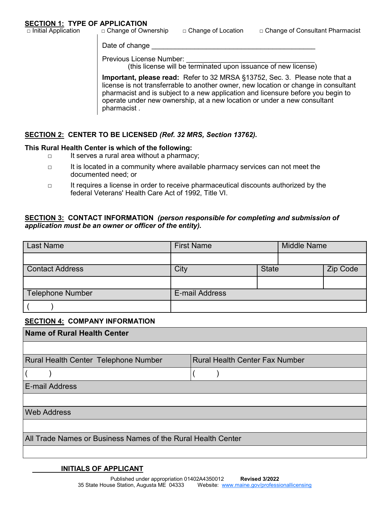Date of change

Previous License Number:

(this license will be terminated upon issuance of new license)

**Important, please read:** Refer to 32 MRSA §13752, Sec. 3. Please note that a license is not transferrable to another owner, new location or change in consultant pharmacist and is subject to a new application and licensure before you begin to operate under new ownership, at a new location or under a new consultant pharmacist .

#### **SECTION 2: CENTER TO BE LICENSED** *(Ref. 32 MRS, Section 13762).*

#### **This Rural Health Center is which of the following:**

- □ It serves a rural area without a pharmacy;
- □ It is located in a community where available pharmacy services can not meet the documented need; or
- □ It requires a license in order to receive pharmaceutical discounts authorized by the federal Veterans' Health Care Act of 1992, Title VI.

#### **SECTION 3: CONTACT INFORMATION** *(person responsible for completing and submission of application must be an owner or officer of the entity).*

| <b>Last Name</b>       | <b>First Name</b> |              | <b>Middle Name</b> |          |
|------------------------|-------------------|--------------|--------------------|----------|
|                        |                   |              |                    |          |
| <b>Contact Address</b> | City              | <b>State</b> |                    | Zip Code |
|                        |                   |              |                    |          |
| Telephone Number       | E-mail Address    |              |                    |          |
|                        |                   |              |                    |          |

#### **SECTION 4: COMPANY INFORMATION**

| Name of Rural Health Center                                  |                                       |  |  |  |  |
|--------------------------------------------------------------|---------------------------------------|--|--|--|--|
|                                                              |                                       |  |  |  |  |
| <b>Rural Health Center Telephone Number</b>                  | <b>Rural Health Center Fax Number</b> |  |  |  |  |
|                                                              |                                       |  |  |  |  |
| <b>E-mail Address</b>                                        |                                       |  |  |  |  |
|                                                              |                                       |  |  |  |  |
| <b>Web Address</b>                                           |                                       |  |  |  |  |
|                                                              |                                       |  |  |  |  |
| All Trade Names or Business Names of the Rural Health Center |                                       |  |  |  |  |
|                                                              |                                       |  |  |  |  |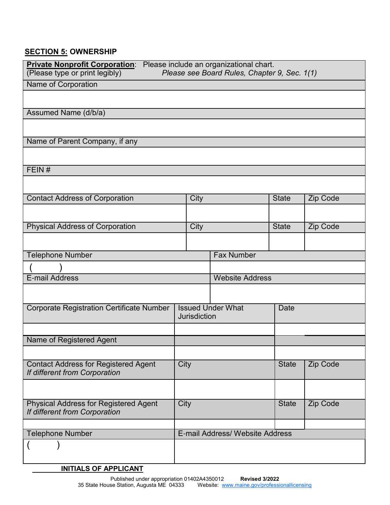## **SECTION 5: OWNERSHIP**

| Private Nonprofit Corporation: Please include an organizational chart.<br>(Please type or print legibly)<br>Please see Board Rules, Chapter 9, Sec. 1(1) |                                              |                     |                                 |              |          |
|----------------------------------------------------------------------------------------------------------------------------------------------------------|----------------------------------------------|---------------------|---------------------------------|--------------|----------|
| Name of Corporation                                                                                                                                      |                                              |                     |                                 |              |          |
|                                                                                                                                                          |                                              |                     |                                 |              |          |
| Assumed Name (d/b/a)                                                                                                                                     |                                              |                     |                                 |              |          |
|                                                                                                                                                          |                                              |                     |                                 |              |          |
| Name of Parent Company, if any                                                                                                                           |                                              |                     |                                 |              |          |
|                                                                                                                                                          |                                              |                     |                                 |              |          |
| FEIN#                                                                                                                                                    |                                              |                     |                                 |              |          |
|                                                                                                                                                          |                                              |                     |                                 |              |          |
| <b>Contact Address of Corporation</b>                                                                                                                    |                                              | City                |                                 | <b>State</b> | Zip Code |
|                                                                                                                                                          |                                              |                     |                                 |              |          |
| <b>Physical Address of Corporation</b>                                                                                                                   |                                              | City                |                                 | <b>State</b> | Zip Code |
|                                                                                                                                                          |                                              |                     |                                 |              |          |
|                                                                                                                                                          | <b>Telephone Number</b><br><b>Fax Number</b> |                     |                                 |              |          |
|                                                                                                                                                          |                                              |                     |                                 |              |          |
| E-mail Address<br><b>Website Address</b>                                                                                                                 |                                              |                     |                                 |              |          |
|                                                                                                                                                          |                                              |                     |                                 |              |          |
| <b>Corporate Registration Certificate Number</b>                                                                                                         |                                              | <b>Jurisdiction</b> | <b>Issued Under What</b>        | Date         |          |
|                                                                                                                                                          |                                              |                     |                                 |              |          |
| Name of Registered Agent                                                                                                                                 |                                              |                     |                                 |              |          |
|                                                                                                                                                          |                                              |                     |                                 |              |          |
| <b>Contact Address for Registered Agent</b><br>If different from Corporation                                                                             | City                                         |                     |                                 | <b>State</b> | Zip Code |
|                                                                                                                                                          |                                              |                     |                                 |              |          |
| <b>Physical Address for Registered Agent</b><br>If different from Corporation                                                                            | City<br><b>State</b>                         |                     |                                 | Zip Code     |          |
|                                                                                                                                                          |                                              |                     | E-mail Address/ Website Address |              |          |
| <b>Telephone Number</b>                                                                                                                                  |                                              |                     |                                 |              |          |
|                                                                                                                                                          |                                              |                     |                                 |              |          |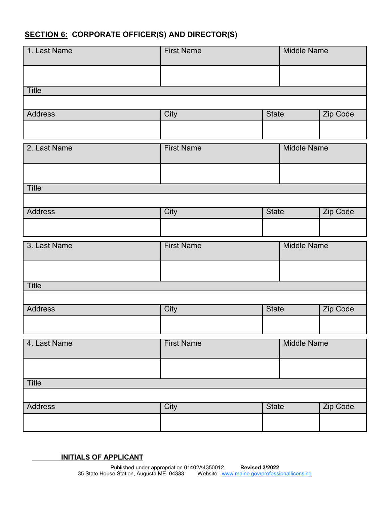## **SECTION 6: CORPORATE OFFICER(S) AND DIRECTOR(S)**

| 1. Last Name   | <b>First Name</b> |              | <b>Middle Name</b> |          |
|----------------|-------------------|--------------|--------------------|----------|
|                |                   |              |                    |          |
| Title          |                   |              |                    |          |
|                |                   |              |                    |          |
| <b>Address</b> | City              | <b>State</b> |                    | Zip Code |
|                |                   |              |                    |          |
| 2. Last Name   | <b>First Name</b> |              | <b>Middle Name</b> |          |
|                |                   |              |                    |          |
| Title          |                   |              |                    |          |
|                |                   |              |                    |          |
| <b>Address</b> | City              | <b>State</b> |                    | Zip Code |
|                |                   |              |                    |          |
| 3. Last Name   | <b>First Name</b> |              | <b>Middle Name</b> |          |
|                |                   |              |                    |          |
| Title          |                   |              |                    |          |
|                |                   |              |                    |          |
| <b>Address</b> | City              | <b>State</b> |                    | Zip Code |
|                |                   |              |                    |          |
| 4. Last Name   | <b>First Name</b> |              | <b>Middle Name</b> |          |
|                |                   |              |                    |          |
|                |                   |              |                    |          |
| Title          |                   |              |                    |          |
|                |                   |              |                    |          |
| <b>Address</b> | City              | <b>State</b> |                    | Zip Code |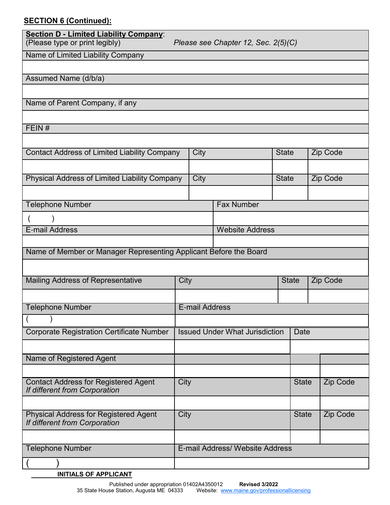## **SECTION 6 (Continued):**

| <b>Section D - Limited Liability Company:</b><br>(Please type or print legibly) |      |                       | Please see Chapter 12, Sec. 2(5)(C)   |              |              |          |
|---------------------------------------------------------------------------------|------|-----------------------|---------------------------------------|--------------|--------------|----------|
| Name of Limited Liability Company                                               |      |                       |                                       |              |              |          |
|                                                                                 |      |                       |                                       |              |              |          |
| Assumed Name (d/b/a)                                                            |      |                       |                                       |              |              |          |
|                                                                                 |      |                       |                                       |              |              |          |
| Name of Parent Company, if any                                                  |      |                       |                                       |              |              |          |
|                                                                                 |      |                       |                                       |              |              |          |
| FEIN#                                                                           |      |                       |                                       |              |              |          |
|                                                                                 |      |                       |                                       |              |              |          |
| <b>Contact Address of Limited Liability Company</b>                             |      | City                  |                                       | <b>State</b> |              | Zip Code |
|                                                                                 |      |                       |                                       |              |              |          |
| Physical Address of Limited Liability Company                                   |      | City                  |                                       | <b>State</b> |              | Zip Code |
|                                                                                 |      |                       |                                       |              |              |          |
| <b>Telephone Number</b>                                                         |      |                       | <b>Fax Number</b>                     |              |              |          |
|                                                                                 |      |                       |                                       |              |              |          |
| E-mail Address                                                                  |      |                       | <b>Website Address</b>                |              |              |          |
|                                                                                 |      |                       |                                       |              |              |          |
| Name of Member or Manager Representing Applicant Before the Board               |      |                       |                                       |              |              |          |
|                                                                                 |      |                       |                                       |              |              |          |
| Mailing Address of Representative                                               | City |                       |                                       |              | <b>State</b> | Zip Code |
|                                                                                 |      |                       |                                       |              |              |          |
| <b>Telephone Number</b>                                                         |      | <b>E-mail Address</b> |                                       |              |              |          |
|                                                                                 |      |                       |                                       |              |              |          |
| <b>Corporate Registration Certificate Number</b>                                |      |                       | <b>Issued Under What Jurisdiction</b> |              | Date         |          |
|                                                                                 |      |                       |                                       |              |              |          |
|                                                                                 |      |                       |                                       |              |              |          |
| Name of Registered Agent                                                        |      |                       |                                       |              |              |          |
|                                                                                 |      |                       |                                       |              |              |          |
| <b>Contact Address for Registered Agent</b><br>If different from Corporation    | City |                       |                                       |              | <b>State</b> | Zip Code |
|                                                                                 |      |                       |                                       |              |              |          |
| <b>Physical Address for Registered Agent</b>                                    | City |                       |                                       |              | <b>State</b> | Zip Code |
| If different from Corporation                                                   |      |                       |                                       |              |              |          |
|                                                                                 |      |                       |                                       |              |              |          |
| <b>Telephone Number</b>                                                         |      |                       | E-mail Address/ Website Address       |              |              |          |
|                                                                                 |      |                       |                                       |              |              |          |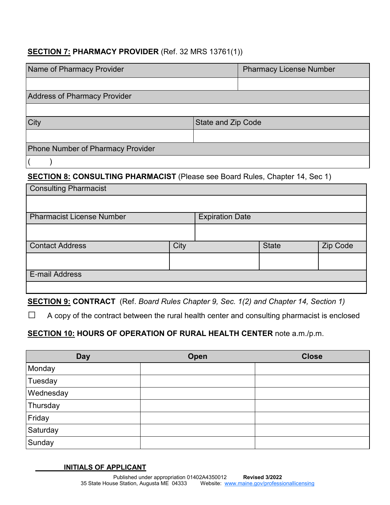## **SECTION 7: PHARMACY PROVIDER** (Ref. 32 MRS 13761(1))

| Name of Pharmacy Provider                |                    | <b>Pharmacy License Number</b> |
|------------------------------------------|--------------------|--------------------------------|
|                                          |                    |                                |
| <b>Address of Pharmacy Provider</b>      |                    |                                |
|                                          |                    |                                |
| City                                     | State and Zip Code |                                |
|                                          |                    |                                |
| <b>Phone Number of Pharmacy Provider</b> |                    |                                |
|                                          |                    |                                |

## **SECTION 8: CONSULTING PHARMACIST** (Please see Board Rules, Chapter 14, Sec 1)

| <b>Consulting Pharmacist</b>     |      |                        |              |                 |
|----------------------------------|------|------------------------|--------------|-----------------|
|                                  |      |                        |              |                 |
| <b>Pharmacist License Number</b> |      | <b>Expiration Date</b> |              |                 |
|                                  |      |                        |              |                 |
| <b>Contact Address</b>           | City |                        | <b>State</b> | <b>Zip Code</b> |
|                                  |      |                        |              |                 |
| <b>E-mail Address</b>            |      |                        |              |                 |
|                                  |      |                        |              |                 |

**SECTION 9: CONTRACT** (Ref. *Board Rules Chapter 9, Sec. 1(2) and Chapter 14, Section 1)*

 $\Box$  A copy of the contract between the rural health center and consulting pharmacist is enclosed

## **SECTION 10: HOURS OF OPERATION OF RURAL HEALTH CENTER** note a.m./p.m.

| <b>Day</b> | Open | <b>Close</b> |
|------------|------|--------------|
| Monday     |      |              |
| Tuesday    |      |              |
| Wednesday  |      |              |
| Thursday   |      |              |
| Friday     |      |              |
| Saturday   |      |              |
| Sunday     |      |              |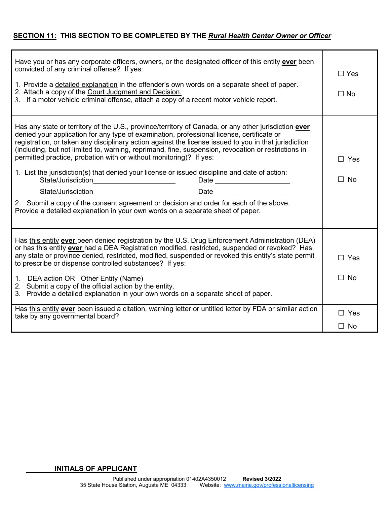#### **SECTION 11: THIS SECTION TO BE COMPLETED BY THE** *Rural Health Center Owner or Officer*

| Have you or has any corporate officers, owners, or the designated officer of this entity <b>ever</b> been<br>convicted of any criminal offense? If yes:<br>1. Provide a detailed explanation in the offender's own words on a separate sheet of paper.<br>2. Attach a copy of the Court Judgment and Decision.<br>3. If a motor vehicle criminal offense, attach a copy of a recent motor vehicle report.                                                                                                                                                                                                                                                                                                                                                                                                                                                                                                                                                                                                                                             | $\Box$ Yes<br>$\Box$ No    |
|-------------------------------------------------------------------------------------------------------------------------------------------------------------------------------------------------------------------------------------------------------------------------------------------------------------------------------------------------------------------------------------------------------------------------------------------------------------------------------------------------------------------------------------------------------------------------------------------------------------------------------------------------------------------------------------------------------------------------------------------------------------------------------------------------------------------------------------------------------------------------------------------------------------------------------------------------------------------------------------------------------------------------------------------------------|----------------------------|
| Has any state or territory of the U.S., province/territory of Canada, or any other jurisdiction ever<br>denied your application for any type of examination, professional license, certificate or<br>registration, or taken any disciplinary action against the license issued to you in that jurisdiction<br>(including, but not limited to, warning, reprimand, fine, suspension, revocation or restrictions in<br>permitted practice, probation with or without monitoring)? If yes:<br>1. List the jurisdiction(s) that denied your license or issued discipline and date of action:<br>State/Jurisdiction_________________________<br>Date and the contract of the contract of the contract of the contract of the contract of the contract of the contract of the contract of the contract of the contract of the contract of the contract of the contract of the c<br>2. Submit a copy of the consent agreement or decision and order for each of the above.<br>Provide a detailed explanation in your own words on a separate sheet of paper. | $\square$ Yes<br>$\Box$ No |
| Has this entity ever been denied registration by the U.S. Drug Enforcement Administration (DEA)<br>or has this entity ever had a DEA Registration modified, restricted, suspended or revoked? Has<br>any state or province denied, restricted, modified, suspended or revoked this entity's state permit<br>to prescribe or dispense controlled substances? If yes:<br>1. DEA action OR Other Entity (Name) _<br>2. Submit a copy of the official action by the entity.<br>3. Provide a detailed explanation in your own words on a separate sheet of paper.                                                                                                                                                                                                                                                                                                                                                                                                                                                                                          | $\Box$ Yes<br>$\Box$ No    |
| Has this entity ever been issued a citation, warning letter or untitled letter by FDA or similar action<br>take by any governmental board?                                                                                                                                                                                                                                                                                                                                                                                                                                                                                                                                                                                                                                                                                                                                                                                                                                                                                                            | $\Box$ Yes<br>$\Box$ No    |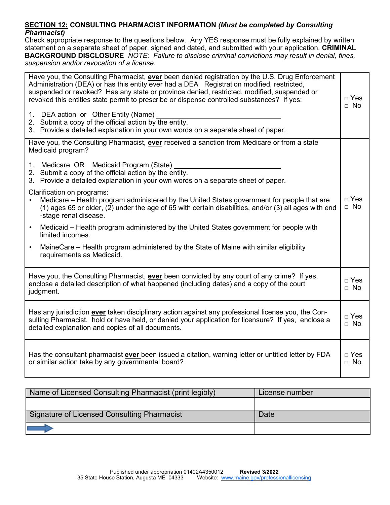#### **SECTION 12: CONSULTING PHARMACIST INFORMATION** *(Must be completed by Consulting Pharmacist)*

Check appropriate response to the questions below. Any YES response must be fully explained by written statement on a separate sheet of paper, signed and dated, and submitted with your application. **CRIMINAL BACKGROUND DISCLOSURE** *NOTE: Failure to disclose criminal convictions may result in denial, fines, suspension and/or revocation of a license.*

| Have you, the Consulting Pharmacist, ever been denied registration by the U.S. Drug Enforcement<br>Administration (DEA) or has this entity ever had a DEA Registration modified, restricted,<br>suspended or revoked? Has any state or province denied, restricted, modified, suspended or<br>revoked this entities state permit to prescribe or dispense controlled substances? If yes:<br>1. DEA action or Other Entity (Name)<br>2. Submit a copy of the official action by the entity.<br>3. Provide a detailed explanation in your own words on a separate sheet of paper. | $\sqcap$ Yes<br>$\Box$ No |
|---------------------------------------------------------------------------------------------------------------------------------------------------------------------------------------------------------------------------------------------------------------------------------------------------------------------------------------------------------------------------------------------------------------------------------------------------------------------------------------------------------------------------------------------------------------------------------|---------------------------|
| Have you, the Consulting Pharmacist, ever received a sanction from Medicare or from a state<br>Medicaid program?                                                                                                                                                                                                                                                                                                                                                                                                                                                                |                           |
| 1. Medicare OR Medicaid Program (State)<br>2. Submit a copy of the official action by the entity.<br>3. Provide a detailed explanation in your own words on a separate sheet of paper.                                                                                                                                                                                                                                                                                                                                                                                          |                           |
| Clarification on programs:<br>Medicare - Health program administered by the United States government for people that are<br>(1) ages 65 or older, (2) under the age of 65 with certain disabilities, and/or (3) all ages with end<br>-stage renal disease.                                                                                                                                                                                                                                                                                                                      | $\Box$ Yes<br>$\Box$ No   |
| Medicaid – Health program administered by the United States government for people with<br>$\bullet$<br>limited incomes.                                                                                                                                                                                                                                                                                                                                                                                                                                                         |                           |
| MaineCare – Health program administered by the State of Maine with similar eligibility<br>$\bullet$<br>requirements as Medicaid.                                                                                                                                                                                                                                                                                                                                                                                                                                                |                           |
| Have you, the Consulting Pharmacist, ever been convicted by any court of any crime? If yes,<br>enclose a detailed description of what happened (including dates) and a copy of the court<br>judgment.                                                                                                                                                                                                                                                                                                                                                                           | $\Box$ Yes<br>$\Box$ No   |
| Has any jurisdiction ever taken disciplinary action against any professional license you, the Con-<br>sulting Pharmacist, hold or have held, or denied your application for licensure? If yes, enclose a<br>detailed explanation and copies of all documents.                                                                                                                                                                                                                                                                                                                   | $\Box$ Yes<br>$\Box$ No   |
| Has the consultant pharmacist <b>ever</b> been issued a citation, warning letter or untitled letter by FDA<br>or similar action take by any governmental board?                                                                                                                                                                                                                                                                                                                                                                                                                 | $\Box$ Yes<br>$\Box$ No   |

| Name of Licensed Consulting Pharmacist (print legibly) | License number |
|--------------------------------------------------------|----------------|
|                                                        |                |
| Signature of Licensed Consulting Pharmacist            | Date           |
|                                                        |                |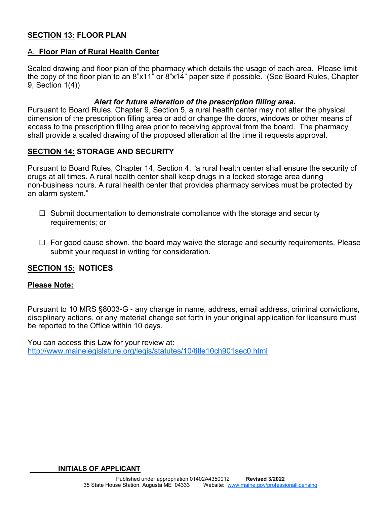## **SECTION 13: FLOOR PLAN**

#### A. **Floor Plan of Rural Health Center**

Scaled drawing and floor plan of the pharmacy which details the usage of each area. Please limit the copy of the floor plan to an 8"x11" or 8"x14" paper size if possible. (See Board Rules, Chapter 9, Section 1(4))

#### *Alert for future alteration of the prescription filling area.*

Pursuant to Board Rules, Chapter 9, Section 5, a rural health center may not alter the physical dimension of the prescription filling area or add or change the doors, windows or other means of access to the prescription filling area prior to receiving approval from the board. The pharmacy shall provide a scaled drawing of the proposed alteration at the time it requests approval.

#### **SECTION 14: STORAGE AND SECURITY**

Pursuant to Board Rules, Chapter 14, Section 4, "a rural health center shall ensure the security of drugs at all times. A rural health center shall keep drugs in a locked storage area during non-business hours. A rural health center that provides pharmacy services must be protected by an alarm system."

- $\Box$  Submit documentation to demonstrate compliance with the storage and security requirements; or
- $\Box$  For good cause shown, the board may waive the storage and security requirements. Please submit your request in writing for consideration.

#### **SECTION 15: NOTICES**

#### **Please Note:**

Pursuant to 10 MRS §8003-G - any change in name, address, email address, criminal convictions, disciplinary actions, or any material change set forth in your original application for licensure must be reported to the Office within 10 days.

You can access this Law for your review at: http://www.mainelegislature.org/legis/statutes/10/title10ch901sec0.html